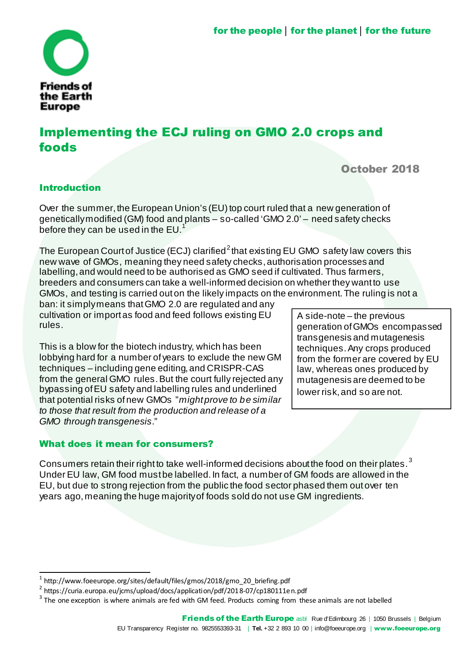

# Implementing the ECJ ruling on GMO 2.0 crops and foods

## October 2018

### Introduction

Over the summer, the European Union's (EU) top court ruled that a new generation of geneticallymodified (GM) food and plants – so-called 'GMO 2.0' – need safety checks before they can be used in the  $EU<sup>1</sup>$ 

The European Court of Justice (ECJ) clarified $^2$ that existing EU GMO safety law covers this new wave of GMOs, meaning they need safety checks,authorisation processes and labelling, and would need to be authorised as GMO seed if cultivated. Thus farmers, breeders and consumers can take a well-informed decision on whether they wantto use GMOs, and testing is carried outon the likely impacts on the environment.The ruling is not a

ban: it simplymeans thatGMO 2.0 are regulated and any cultivation or importas food and feed follows existing EU rules.

This is a blow for the biotech industry, which has been lobbying hard for a number ofyears to exclude the new GM techniques – including gene editing, and CRISPR-CAS from the general GMO rules. But the court fully rejected any bypassing ofEU safety and labelling rules and underlined that potential risks ofnew GMOs "*mightprove to be similar to those that result from the production and release of a GMO through transgenesis*."

### What does it mean for consumers?

A side-note – the previous generation ofGMOs encompassed transgenesis and mutagenesis techniques.Any crops produced from the former are covered by EU law, whereas ones produced by mutagenesis are deemed to be lower risk,and so are not.

Consumers retain their right to take well-informed decisions about the food on their plates.<sup>3</sup> Under EU law, GM food mustbe labelled.In fact, a number of GM foods are allowed in the EU, but due to strong rejection from the public the food sector phased them outover ten years ago, meaning the huge majority of foods sold do not use GM ingredients.

 $^{\rm 1}$  http://www.foeeurope.org/sites/default/files/gmos/2018/gmo\_20\_briefing.pdf

<sup>&</sup>lt;sup>2</sup> https://curia.europa.eu/jcms/upload/docs/application/pdf/2018-07/cp180111en.pdf

 $3$  The one exception is where animals are fed with GM feed. Products coming from these animals are not labelled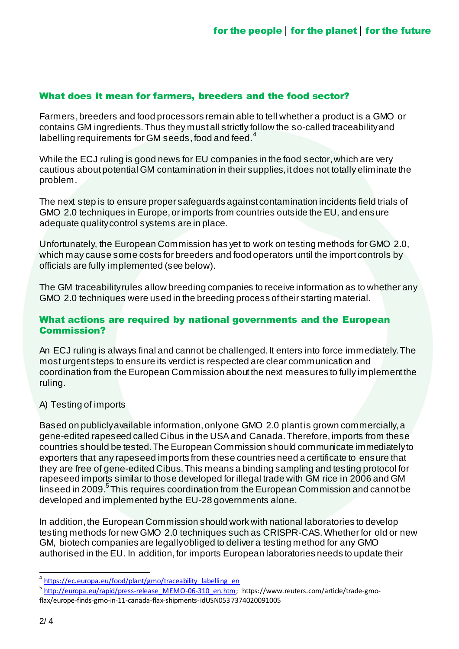#### What does it mean for farmers, breeders and the food sector?

Farmers,breeders and food processors remain able to tell whether a product is a GMO or contains GM ingredients.Thus they mustall strictly follow the so-called traceabilityand labelling requirements for GM seeds, food and feed.<sup>4</sup>

While the ECJ ruling is good news for EU companies in the food sector, which are very cautious aboutpotential GM contamination in their supplies,itdoes not totally eliminate the problem.

The next step is to ensure proper safeguards againstcontamination incidents field trials of GMO 2.0 techniques in Europe,or imports from countries outside the EU, and ensure adequate qualitycontrol systems are in place.

Unfortunately, the European Commission has yet to work on testing methods for GMO 2.0, which may cause some costs for breeders and food operators until the import controls by officials are fully implemented (see below).

The GM traceabilityrules allow breeding companies to receive information as to whether any GMO 2.0 techniques were used in the breeding process of their starting material.

#### What actions are required by national governments and the European Commission?

An ECJ ruling is always final and cannot be challenged. It enters into force immediately. The mosturgentsteps to ensure its verdict is respected are clear communication and coordination from the European Commission aboutthe next measures to fully implementthe ruling.

#### A) Testing of imports

Based on publicly available information, only one GMO 2.0 plant is grown commercially, a gene-edited rapeseed called Cibus in the USA and Canada.Therefore,imports from these countries should be tested.The European Commission should communicate immediatelyto exporters that any rapeseed imports from these countries need a certificate to ensure that they are free of gene-edited Cibus.This means a binding sampling and testing protocol for rapeseed imports similar to those developed for illegal trade with GM rice in 2006 and GM linseed in 2009.<sup>5</sup> This requires coordination from the European Commission and cannot be developed and implemented bythe EU-28 governments alone.

In addition,the European Commission should work with national laboratories to develop testing methods for new GMO 2.0 techniques such as CRISPR-CAS.Whether for old or new GM, biotech companies are legallyobliged to deliver a testing method for any GMO authorised in the EU. In addition, for imports European laboratories needs to update their

<sup>&</sup>lt;sup>4</sup> https://ec.europa.eu/food/plant/gmo/traceability\_labelling\_en

<sup>&</sup>lt;sup>5</sup> http://europa.eu/rapid/press-release\_MEMO-06-310\_en.htm; https://www.reuters.com/article/trade-gmoflax/europe-finds-gmo-in-11-canada-flax-shipments-idUSN0537374020091005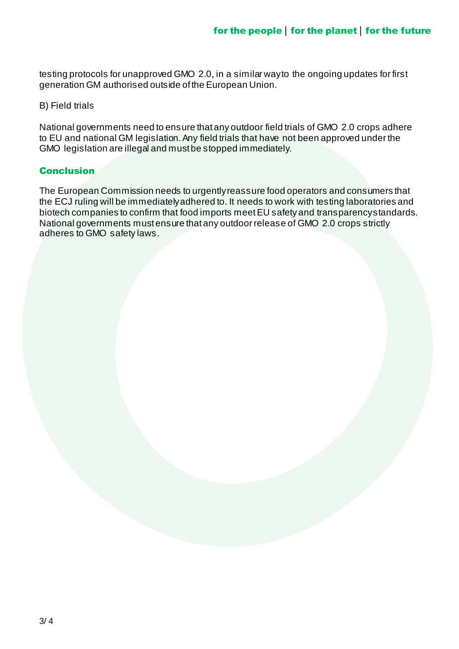testing protocols for unapproved GMO 2.0, in a similar wayto the ongoing updates for first generation GM authorised outside ofthe European Union.

#### B) Field trials

National governments need to ensure thatany outdoor field trials of GMO 2.0 crops adhere to EU and national GM legislation. Any field trials that have not been approved under the GMO legislation are illegal and mustbe stopped immediately.

#### **Conclusion**

The European Commission needs to urgentlyreassure food operators and consumers that the ECJ ruling will be immediatelyadhered to. It needs to work with testing laboratories and biotech companies to confirm that food imports meetEU safety and transparencystandards. National governments mustensure thatany outdoor release of GMO 2.0 crops strictly adheres to GMO safety laws.